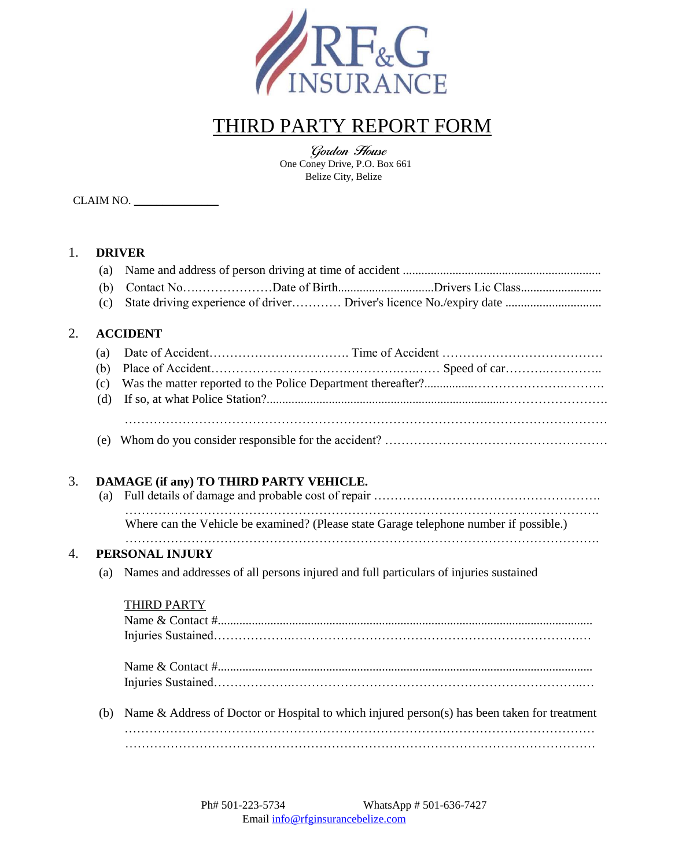

# THIRD PARTY REPORT FORM

Gordon House One Coney Drive, P.O. Box 661 Belize City, Belize

CLAIM NO.

#### 1. **DRIVER**

2. **ACCIDENT**

| <b>ACCIDENT</b> |  |  |  |  |  |  |
|-----------------|--|--|--|--|--|--|
|                 |  |  |  |  |  |  |

(e) Whom do you consider responsible for the accident? ………………………………………………

## 3. **DAMAGE (if any) TO THIRD PARTY VEHICLE.**

| Where can the Vehicle be examined? (Please state Garage telephone number if possible.) |
|----------------------------------------------------------------------------------------|
|                                                                                        |

### 4. **PERSONAL INJURY**

(a) Names and addresses of all persons injured and full particulars of injuries sustained

#### THIRD PARTY

| (b) Name & Address of Doctor or Hospital to which injured person(s) has been taken for treatment |
|--------------------------------------------------------------------------------------------------|
|                                                                                                  |
|                                                                                                  |
|                                                                                                  |